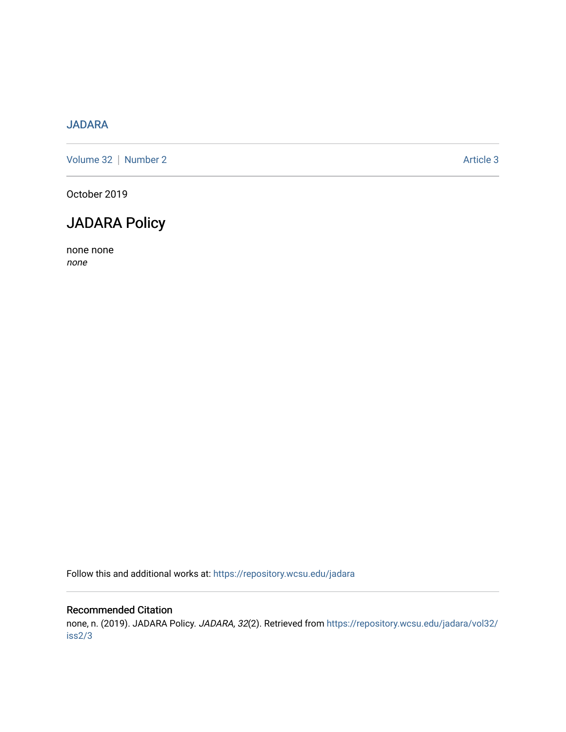## [JADARA](https://repository.wcsu.edu/jadara)

[Volume 32](https://repository.wcsu.edu/jadara/vol32) | [Number 2](https://repository.wcsu.edu/jadara/vol32/iss2) Article 3

October 2019

## JADARA Policy

none none none

Follow this and additional works at: [https://repository.wcsu.edu/jadara](https://repository.wcsu.edu/jadara?utm_source=repository.wcsu.edu%2Fjadara%2Fvol32%2Fiss2%2F3&utm_medium=PDF&utm_campaign=PDFCoverPages)

#### Recommended Citation

none, n. (2019). JADARA Policy. JADARA, 32(2). Retrieved from [https://repository.wcsu.edu/jadara/vol32/](https://repository.wcsu.edu/jadara/vol32/iss2/3?utm_source=repository.wcsu.edu%2Fjadara%2Fvol32%2Fiss2%2F3&utm_medium=PDF&utm_campaign=PDFCoverPages) [iss2/3](https://repository.wcsu.edu/jadara/vol32/iss2/3?utm_source=repository.wcsu.edu%2Fjadara%2Fvol32%2Fiss2%2F3&utm_medium=PDF&utm_campaign=PDFCoverPages)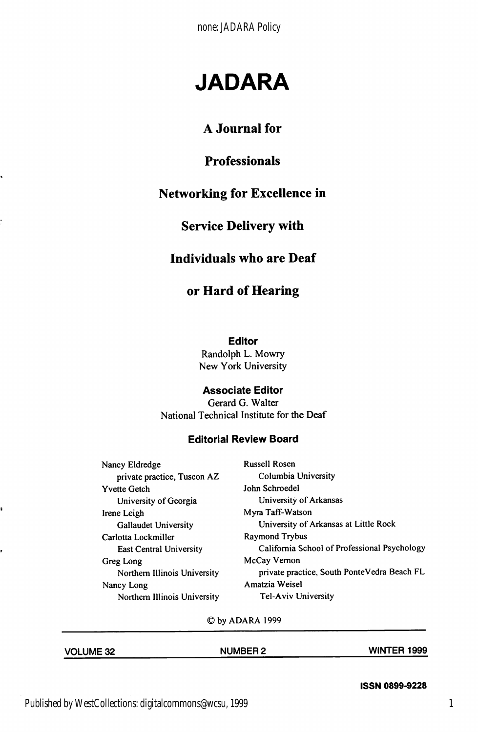none: JADARA Policy

# JADARA

## A Journal for

### Professionals

## Networking for Excellence in

#### Service Delivery with

#### Individuals who are Deaf

#### or Hard of Hearing

Editor

Randolph L. Mowry New York University

#### Associate Editor

Gerard G. Walter National Technical Institute for the Deaf

#### Editorial Review Board

Nancy Eldredge Russell Rosen private practice, Tuscon AZ Columbia University Yvette Getch John Schroedel University of Georgia University of Arkansas Irene Leigh Myra Taff-Watson Carlotta Lockmiller Raymond Trybus Greg Long McCay Vernon Nancy Long **Amatzia Weisel** Northern Illinois University Tel-Aviv University

,

Gallaudet University University of Arkansas at Little Rock East Central University California School of Professional Psychology Northern Illinois University private practice, South PonteVedra Beach FL

©by ADARA 1999

| <b>VOLUME 32</b> | <b>NUMBER 2</b> | <b>WINTER 1999</b> |
|------------------|-----------------|--------------------|
|                  |                 |                    |

ISSN 0899-9228